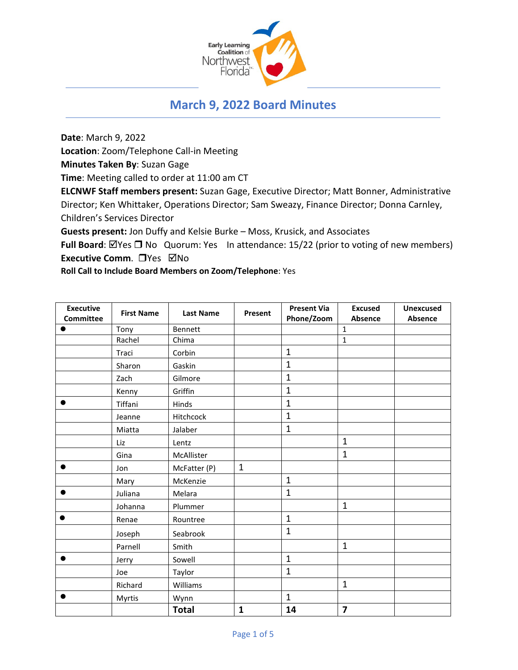

# **March 9, 2022 Board Minutes**

**Date**: March 9, 2022

**Location**: Zoom/Telephone Call-in Meeting

**Minutes Taken By**: Suzan Gage

**Time**: Meeting called to order at 11:00 am CT

**ELCNWF Staff members present:** Suzan Gage, Executive Director; Matt Bonner, Administrative Director; Ken Whittaker, Operations Director; Sam Sweazy, Finance Director; Donna Carnley, Children's Services Director

**Guests present:** Jon Duffy and Kelsie Burke – Moss, Krusick, and Associates

**Full Board**: ⊠Yes □ No Quorum: Yes In attendance: 15/22 (prior to voting of new members) **Executive Comm.** □ Yes ⊠No

**Roll Call to Include Board Members on Zoom/Telephone**: Yes

| <b>Executive</b> | <b>First Name</b> | <b>Last Name</b> | Present      | <b>Present Via</b> | <b>Excused</b>          | <b>Unexcused</b> |
|------------------|-------------------|------------------|--------------|--------------------|-------------------------|------------------|
| <b>Committee</b> |                   |                  |              | Phone/Zoom         | Absence                 | Absence          |
|                  | Tony              | Bennett          |              |                    | $\mathbf{1}$            |                  |
|                  | Rachel            | Chima            |              |                    | $\mathbf 1$             |                  |
|                  | Traci             | Corbin           |              | $\mathbf{1}$       |                         |                  |
|                  | Sharon            | Gaskin           |              | $\overline{1}$     |                         |                  |
|                  | Zach              | Gilmore          |              | $\mathbf{1}$       |                         |                  |
|                  | Kenny             | Griffin          |              | $\mathbf{1}$       |                         |                  |
| $\bullet$        | Tiffani           | Hinds            |              | $\mathbf 1$        |                         |                  |
|                  | Jeanne            | Hitchcock        |              | $\mathbf{1}$       |                         |                  |
|                  | Miatta            | Jalaber          |              | $\mathbf{1}$       |                         |                  |
|                  | Liz               | Lentz            |              |                    | $\mathbf{1}$            |                  |
|                  | Gina              | McAllister       |              |                    | $\mathbf{1}$            |                  |
| $\bullet$        | Jon               | McFatter (P)     | $\mathbf{1}$ |                    |                         |                  |
|                  | Mary              | McKenzie         |              | $\mathbf{1}$       |                         |                  |
| $\bullet$        | Juliana           | Melara           |              | $\mathbf{1}$       |                         |                  |
|                  | Johanna           | Plummer          |              |                    | $\mathbf{1}$            |                  |
| $\bullet$        | Renae             | Rountree         |              | $\mathbf 1$        |                         |                  |
|                  | Joseph            | Seabrook         |              | $\mathbf 1$        |                         |                  |
|                  | Parnell           | Smith            |              |                    | $\mathbf{1}$            |                  |
| $\bullet$        | Jerry             | Sowell           |              | $\mathbf{1}$       |                         |                  |
|                  | Joe               | Taylor           |              | $\mathbf{1}$       |                         |                  |
|                  | Richard           | Williams         |              |                    | $\mathbf{1}$            |                  |
| $\bullet$        | Myrtis            | Wynn             |              | $\mathbf{1}$       |                         |                  |
|                  |                   | <b>Total</b>     | $\mathbf{1}$ | 14                 | $\overline{\mathbf{z}}$ |                  |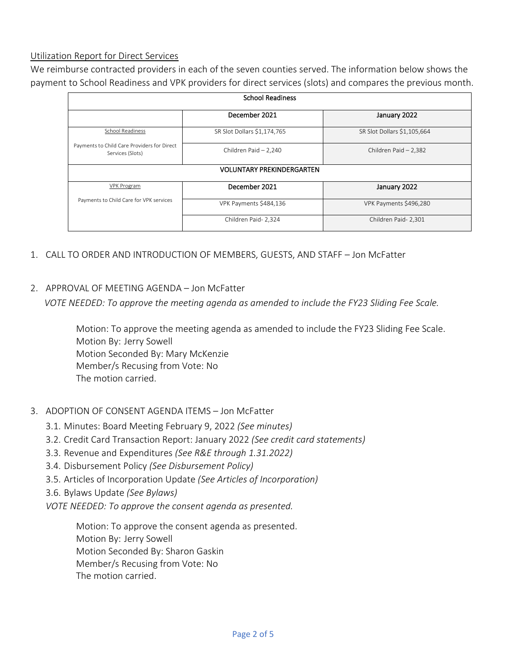#### Utilization Report for Direct Services

We reimburse contracted providers in each of the seven counties served. The information below shows the payment to School Readiness and VPK providers for direct services (slots) and compares the previous month.

| <b>School Readiness</b>                                         |                             |                             |  |  |  |  |
|-----------------------------------------------------------------|-----------------------------|-----------------------------|--|--|--|--|
|                                                                 | December 2021               | January 2022                |  |  |  |  |
| School Readiness                                                | SR Slot Dollars \$1,174,765 | SR Slot Dollars \$1,105,664 |  |  |  |  |
| Payments to Child Care Providers for Direct<br>Services (Slots) | Children Paid - 2,240       | Children Paid - 2,382       |  |  |  |  |
| <b>VOLUNTARY PREKINDERGARTEN</b>                                |                             |                             |  |  |  |  |
| <b>VPK Program</b>                                              | December 2021               | January 2022                |  |  |  |  |
| Payments to Child Care for VPK services                         | VPK Payments \$484,136      | VPK Payments \$496,280      |  |  |  |  |
|                                                                 | Children Paid- 2,324        | Children Paid- 2,301        |  |  |  |  |

- 1. CALL TO ORDER AND INTRODUCTION OF MEMBERS, GUESTS, AND STAFF Jon McFatter
- 2. APPROVAL OF MEETING AGENDA Jon McFatter

*VOTE NEEDED: To approve the meeting agenda as amended to include the FY23 Sliding Fee Scale.* 

Motion: To approve the meeting agenda as amended to include the FY23 Sliding Fee Scale. Motion By: Jerry Sowell Motion Seconded By: Mary McKenzie Member/s Recusing from Vote: No The motion carried.

- 3. ADOPTION OF CONSENT AGENDA ITEMS Jon McFatter
	- 3.1. Minutes: Board Meeting February 9, 2022 *(See minutes)*
	- 3.2. Credit Card Transaction Report: January 2022 *(See credit card statements)*
	- 3.3. Revenue and Expenditures *(See R&E through 1.31.2022)*
	- 3.4. Disbursement Policy *(See Disbursement Policy)*
	- 3.5. Articles of Incorporation Update *(See Articles of Incorporation)*
	- 3.6. Bylaws Update *(See Bylaws)*
	- *VOTE NEEDED: To approve the consent agenda as presented.*

Motion: To approve the consent agenda as presented. Motion By: Jerry Sowell Motion Seconded By: Sharon Gaskin Member/s Recusing from Vote: No The motion carried.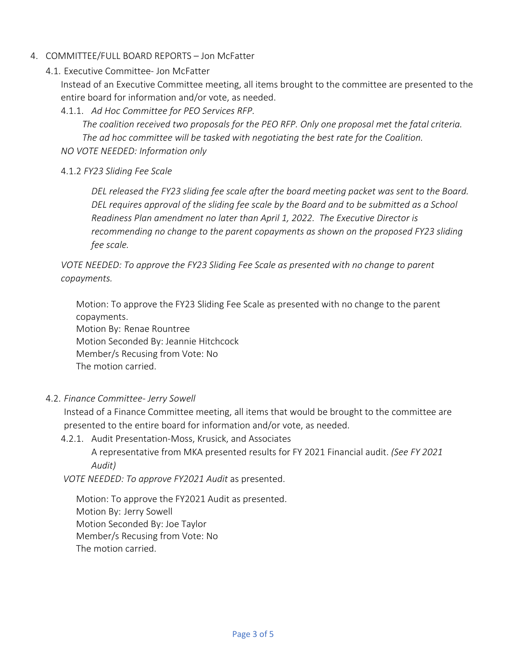#### 4. COMMITTEE/FULL BOARD REPORTS – Jon McFatter

4.1. Executive Committee- Jon McFatter

Instead of an Executive Committee meeting, all items brought to the committee are presented to the entire board for information and/or vote, as needed.

4.1.1. *Ad Hoc Committee for PEO Services RFP.*

*The coalition received two proposals for the PEO RFP. Only one proposal met the fatal criteria. The ad hoc committee will be tasked with negotiating the best rate for the Coalition.* 

*NO VOTE NEEDED: Information only*

#### 4.1.2 *FY23 Sliding Fee Scale*

*DEL released the FY23 sliding fee scale after the board meeting packet was sent to the Board. DEL requires approval of the sliding fee scale by the Board and to be submitted as a School Readiness Plan amendment no later than April 1, 2022. The Executive Director is recommending no change to the parent copayments as shown on the proposed FY23 sliding fee scale.*

*VOTE NEEDED: To approve the FY23 Sliding Fee Scale as presented with no change to parent copayments.* 

Motion: To approve the FY23 Sliding Fee Scale as presented with no change to the parent copayments.

Motion By: Renae Rountree Motion Seconded By: Jeannie Hitchcock Member/s Recusing from Vote: No The motion carried.

#### 4.2. *Finance Committee- Jerry Sowell*

Instead of a Finance Committee meeting, all items that would be brought to the committee are presented to the entire board for information and/or vote, as needed.

4.2.1. Audit Presentation-Moss, Krusick, and Associates

A representative from MKA presented results for FY 2021 Financial audit. *(See FY 2021 Audit)*

*VOTE NEEDED: To approve FY2021 Audit* as presented.

Motion: To approve the FY2021 Audit as presented. Motion By: Jerry Sowell Motion Seconded By: Joe Taylor Member/s Recusing from Vote: No The motion carried.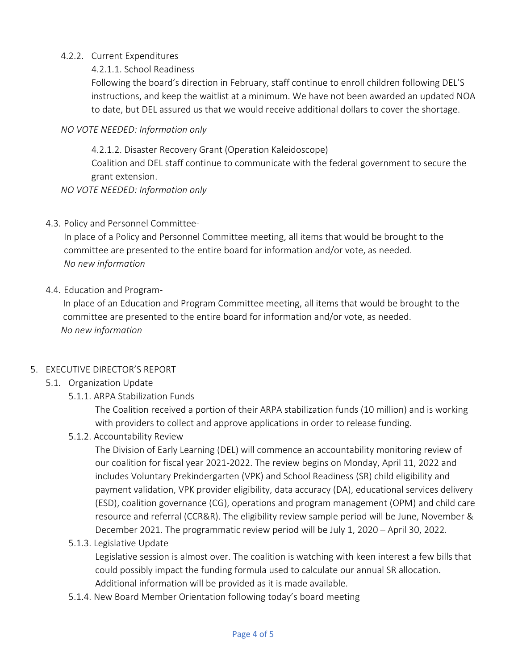## 4.2.2. Current Expenditures

## 4.2.1.1. School Readiness

Following the board's direction in February, staff continue to enroll children following DEL'S instructions, and keep the waitlist at a minimum. We have not been awarded an updated NOA to date, but DEL assured us that we would receive additional dollars to cover the shortage.

## *NO VOTE NEEDED: Information only*

4.2.1.2. Disaster Recovery Grant (Operation Kaleidoscope) Coalition and DEL staff continue to communicate with the federal government to secure the grant extension.

*NO VOTE NEEDED: Information only*

## 4.3. Policy and Personnel Committee-

In place of a Policy and Personnel Committee meeting, all items that would be brought to the committee are presented to the entire board for information and/or vote, as needed. *No new information*

## 4.4. Education and Program-

In place of an Education and Program Committee meeting, all items that would be brought to the committee are presented to the entire board for information and/or vote, as needed. *No new information*

### 5. EXECUTIVE DIRECTOR'S REPORT

# 5.1. Organization Update

5.1.1. ARPA Stabilization Funds

The Coalition received a portion of their ARPA stabilization funds (10 million) and is working with providers to collect and approve applications in order to release funding.

# 5.1.2. Accountability Review

The Division of Early Learning (DEL) will commence an accountability monitoring review of our coalition for fiscal year 2021-2022. The review begins on Monday, April 11, 2022 and includes Voluntary Prekindergarten (VPK) and School Readiness (SR) child eligibility and payment validation, VPK provider eligibility, data accuracy (DA), educational services delivery (ESD), coalition governance (CG), operations and program management (OPM) and child care resource and referral (CCR&R). The eligibility review sample period will be June, November & December 2021. The programmatic review period will be July 1, 2020 – April 30, 2022.

5.1.3. Legislative Update

Legislative session is almost over. The coalition is watching with keen interest a few bills that could possibly impact the funding formula used to calculate our annual SR allocation. Additional information will be provided as it is made available.

5.1.4. New Board Member Orientation following today's board meeting